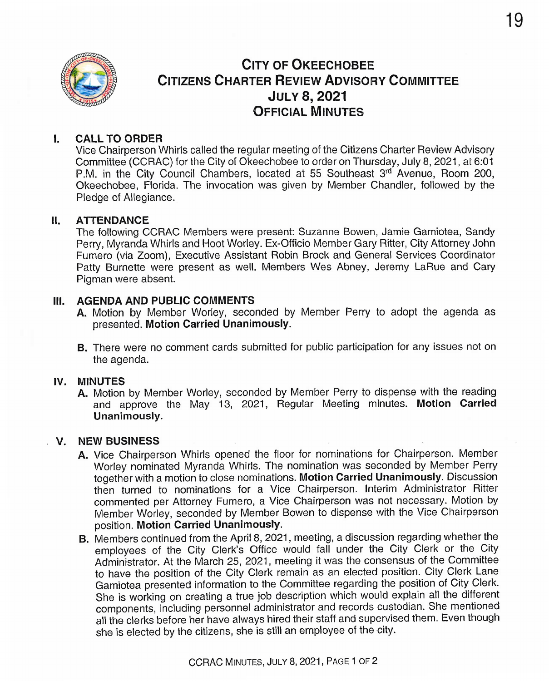

# CITY OF OKEECHOBEE CITIZENS CHARTER REVIEW ADVISORY COMMITTEE **JULY 8, 2021** OFFICIAL MINUTES

# I. CALL TO ORDER

Vice Chairperson Whirls calfed the regular meeting of the Citizens Charter Review Advisory Committee (CCRAC) for the City of Okeechobee to order on Thursday, July 8, 2021, at 6:01 P.M. in the City Council Chambers, located at 55 Southeast 3rd Avenue, Room 200, Okeechobee, Florida. The invocation was given by Member Chandler, followed by the Pledge of Allegiance.

#### II. ATTENDANCE

The following CCRAC Members were present: Suzanne Bowen, Jamie Gamiotea, Sandy Perry, Myranda Whirls and Hoot Worley. Ex-Officio Member Gary Ritter, City Attorney John Fumero ( via Zoom), Executive Assistant Robin Brock and General Services Coordinator Patty Burnette were present as well. Members Wes Abney, Jeremy LaRue and Cary Pigman were absent.

#### III. AGENDA AND PUBLIC COMMENTS

- A. Motion by Member Worley, seconded by Member Perry to adopt the agenda as presented. Motion Carried Unanimously.
- B. There were no comment cards submitted for public participation for any issues not on the agenda.

#### IV. MINUTES

A. Motion by Member Worley, seconded by Member Perry to dispense with the reading and approve the May 13, 2021, Regular Meeting minutes. Motion Carried Unanimously.

#### V. NEW BUSINESS

- A. Vice Chairperson Whirls opened the floor for nominations for Chairperson. Member Worley nominated Myranda Whirls. The nomination was seconded by Member Perry together with a motion to close nominations. Motion Carried Unanimously. Discussion then turned to nominations for a Vice Chairperson. Interim Administrator Ritter commented per Attorney Fumero, a Vice Chairperson was not necessary. Motion by Member Worley, seconded by Member Bowen to dispense with the Vice Chairperson position. Motion Carried Unanimousiy.
- B. Members continued from the April 8, 2021, meeting, a discussion regarding whether the employees of the City Clerk's Office would fall under the City Clerk or the City Administrator. At the March 25, 2021, meeting it was the consensus of the Committee to have the position of the City Clerk remain as an elected position. City Clerk Lane Gamiotea presented informaiion to the Committee regarding ihe position of City Clerk. She is working on creating a true job description which would explain all the different components, including personnel administrator and records custodian. She mentioned a11 the clerks before her have always hired their staff and supervised them. Even though she is elected by the citizens, she is stilf an employee of the city.